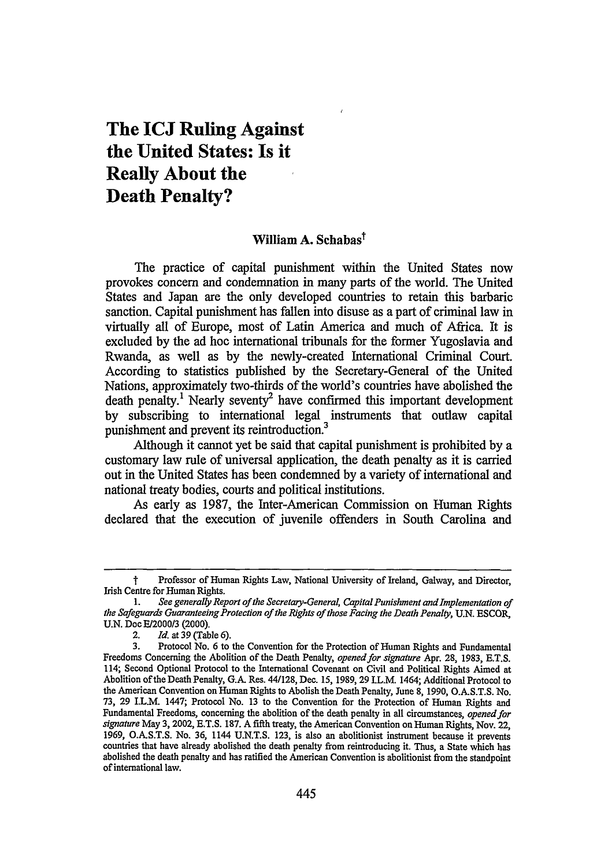## **The ICJ Ruling Against the United States: Is it Really About the Death Penalty?**

## William **A.** Sehabast

The practice of capital punishment within the United States now provokes concern and condemnation in many parts of the world. The United States and Japan are the only developed countries to retain this barbaric sanction. Capital punishment has fallen into disuse as a part of criminal law in virtually all of Europe, most of Latin America and much of Africa. It is excluded **by** the ad hoc international tribunals for the former Yugoslavia and Rwanda, as well as **by** the newly-created International Criminal Court. According to statistics published **by** the Secretary-General of the United Nations, approximately two-thirds of the world's countries have abolished the death penalty.<sup>1</sup> Nearly seventy<sup>2</sup> have confirmed this important development **by** subscribing to international legal instruments that outlaw capital punishment and prevent its reintroduction.<sup>3</sup>

Although it cannot yet be said that capital punishment is prohibited **by** a customary law rule of universal application, the death penalty as it is carried out in the United States has been condemned **by** a variety of international and national treaty bodies, courts and political institutions.

As early as **1987,** the Inter-American Commission on Human Rights declared that the execution of juvenile offenders in South Carolina and

t Professor of Human Rights Law, National University of Ireland, Galway, and Director, Irish Centre for Human Rights.

<sup>1.</sup> *See generally Report of the Secretary-General, Capital Punishment and Implementation of the Safeguards Guaranteeing Protection of the Rights of those Facing the Death Penalty,* U.N. ESCOR, U.N. *Doc* E/2000/3 (2000).

<sup>2.</sup> *Id.* at **39** (Table **6).**

**<sup>3.</sup>** Protocol No. **6** to the Convention for the Protection of Human Rights and Fundamental Freedoms Concerning the Abolition of the Death Penalty, *opened for signature* Apr. 28, 1983, E.T.S. 114; Second Optional Protocol to the International Covenant on Civil and Political Rights Aimed at Abolition of the Death Penalty, **G.A.** Res. 44/128, Dec. *15,* **1989, 29** I.L.M. 1464; Additional Protocol to the American Convention on Human Rights to Abolish the Death Penalty, June **8, 1990, O.A.S.T.S.** No. **73, 29** I.L.M. 1447; Protocol No. **13** to the Convention for the Protection of Human Rights and Fundamental Freedoms, concerning the abolition of the death penalty in all circumstances, *opened for signature* May **3,** 2002, **E.T.S. 187. A** fifth treaty, the American Convention on Human Rights, Nov. 22, **1969, O.A.S.T.S.** No. *36,* 1144 **U.N.T.S. 123,** is also an abolitionist instrument because it prevents countries that have already abolished the death penalty from reintroducing it. Thus, a State which has abolished the death penalty and has ratified the American Convention is abolitionist from the standpoint of international law.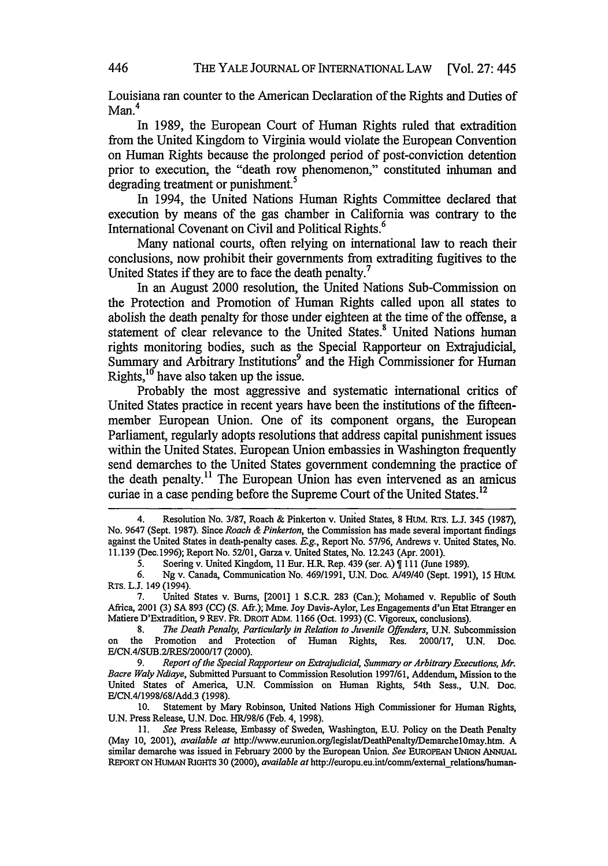Louisiana ran counter to the American Declaration of the Rights and Duties of  $Man<sup>4</sup>$ 

In 1989, the European Court of Human Rights ruled that extradition from the United Kingdom to Virginia would violate the European Convention on Human Rights because the prolonged period of post-conviction detention prior to execution, the "death row phenomenon," constituted inhuman and degrading treatment or punishment.<sup>5</sup>

In 1994, the United Nations Human Rights Committee declared that execution by means of the gas chamber in California was contrary to the International Covenant on Civil and Political Rights.<sup>6</sup>

Many national courts, often relying on international law to reach their conclusions, now prohibit their governments from extraditing fugitives to the United States if they are to face the death penalty.<sup>7</sup>

In an August 2000 resolution, the United Nations Sub-Commission on the Protection and Promotion of Human Rights called upon all states to abolish the death penalty for those under eighteen at the time of the offense, a statement of clear relevance to the United States.<sup>8</sup> United Nations human rights monitoring bodies, such as the Special Rapporteur on Extrajudicial, Summary and Arbitrary Institutions<sup>9</sup> and the High Commissioner for Human Rights, $10^{\circ}$  have also taken up the issue.

Probably the most aggressive and systematic international critics of United States practice in recent years have been the institutions of the fifteenmember European Union. One of its component organs, the European Parliament, regularly adopts resolutions that address capital punishment issues within the United States. European Union embassies in Washington frequently send demarches to the United States government condemning the practice of the death penalty.<sup>11</sup> The European Union has even intervened as an amicus curiae in a case pending before the Supreme Court of the United States.<sup>12</sup>

5. Soering v. United Kingdom, 11 Eur. H.R. Rep. 439 (ser. A)  $\parallel$  111 (June 1989).

7. United States v. Bums, [2001] 1 S.C.R 283 (Can.); Mohamed v. Republic of South Africa, 2001 (3) SA 893 (CC) **(S.** Aft.); Mne. Joy Davis-Aylor, Les Engagements d'un Etat Etranger en Matiere D'Extradition, 9 REV. FR. DROIT ADM. 1166 (Oct. 1993) (C. Vigoreux, conclusions).

8. *The Death Penalty, Particularly in Relation to Juvenile Offenders,* U.N. Subcommission on the Promotion and Protection of Human Rights, Res. 2000117, U.N. Doc. E/CN.4/SUB.2/RES/2000/17 (2000).

9. *Report of the Special Rapporteur on Extrajudicial, Summary or Arbitrary Executions, Mr. Bacre Waly Ndiaye,* Submitted Pursuant to Commission Resolution 1997/61, Addendum, Mission to the United States of America, U.N. Commission on Human Rights, 54th Sess., U.N. Doc. E/CN.4/1998/68/Add.3 (1998).

10. Statement by Mary Robinson, United Nations High Commissioner for Human Rights, U.N. Press Release, U.N. Doc. HR/98/6 (Feb. 4, 1998).

**11.** *See* Press Release, Embassy of Sweden, Washington, **E.U.** Policy on the Death Penalty (May 10, 2001), *available at* http://www.eurunion.orgllegislat/DeathPenaltylDemarchel0may.htm. A similar demarche was issued in February 2000 by the European Union. *See* **EUROPEAN** UNION ANNUAL REPORT **ON HUMAN RIGHTS** 30 (2000), *available at* http://europu.eu.int/comm/extemalrelations/human-

<sup>4.</sup> Resolution No. 3/87, Roach & Pinkerton v. United States, 8 HuM. RTs. **L.J.** 345 (1987), No. 9647 (Sept. 1987). Since *Roach & Pinkerton,* the Commission has made several important findings against the United States in death-penalty cases. *E.g.,* Report No. 57/96, Andrews v. United States, No. 11.139 (Dec. 1996); Report No. 52/01, Garza v. United States, No. 12.243 (Apr. 2001).

<sup>6.</sup> Ng v. Canada, Communication No. 469/1991, U.N. Doc. A/49/40 (Sept. 1991), 15 HUM. RTS. L.J. 149 (1994).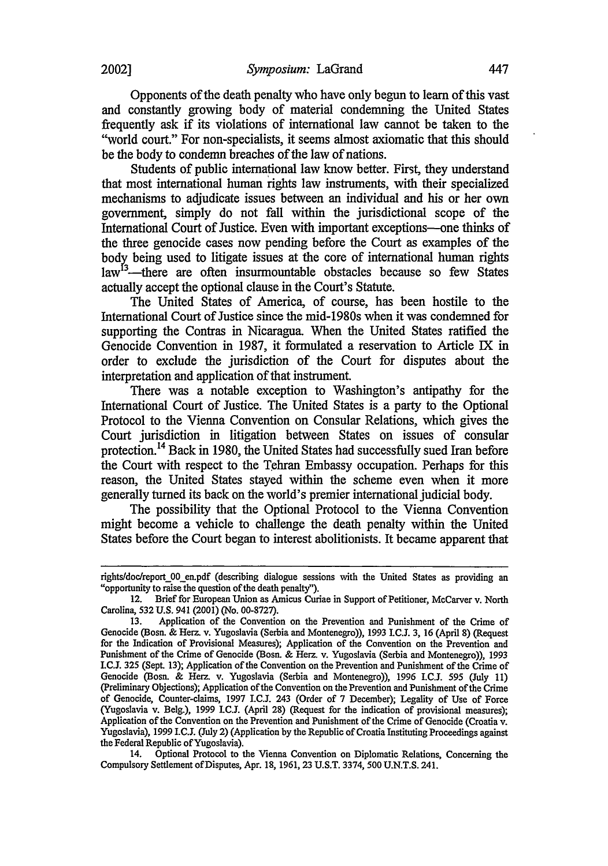Opponents of the death penalty who have only begun to learn of this vast and constantly growing body of material condemning the United States frequently ask if its violations of international law cannot be taken to the "world court." For non-specialists, it seems almost axiomatic that this should be the body to condemn breaches of the law of nations.

Students of public international law know better. First, they understand that most international human rights law instruments, with their specialized mechanisms to adjudicate issues between an individual and his or her own government, simply do not fall within the jurisdictional scope of the International Court of Justice. Even with important exceptions-one thinks of the three genocide cases now pending before the Court as examples of the body being used to litigate issues at the core of international human rights  $law<sup>13</sup>$ -there are often insurmountable obstacles because so few States actually accept the optional clause in the Court's Statute.

The United States of America, of course, has been hostile to the International Court of Justice since the mid-1980s when it was condemned for supporting the Contras in Nicaragua. When the United States ratified the Genocide Convention in 1987, it formulated a reservation to Article IX in order to exclude the jurisdiction of the Court for disputes about the interpretation and application of that instrument.

There was a notable exception to Washington's antipathy for the International Court of Justice. The United States is a party to the Optional Protocol to the Vienna Convention on Consular Relations, which gives the Court jurisdiction in litigation between States on issues of consular protection. 14 Back in 1980, the United States had successfully sued Iran before the Court with respect to the Tehran Embassy occupation. Perhaps for this reason, the United States stayed within the scheme even when it more generally turned its back on the world's premier international judicial body.

The possibility that the Optional Protocol to the Vienna Convention might become a vehicle to challenge the death penalty within the United States before the Court began to interest abolitionists. It became apparent that

14. Optional Protocol to the Vienna Convention on Diplomatic Relations, Concerning the Compulsory Settlement of Disputes, Apr. **18,** 1961, **23** U.S.T. 3374, 500 U.N.T.S. 241.

rights/doc/report\_00\_en.pdf (describing dialogue sessions with the United States as providing an "opportunity to raise the question of the death penalty").

<sup>12.</sup> Brief for European Union as Amicus Curiae in Support of Petitioner, McCarver v. North Carolina, **532 U.S.** 941 (2001) (No. 00-8727).

<sup>13.</sup> Application of the Convention on the Prevention and Punishment of the Crime of Genocide (Bosh. & Herz v. Yugoslavia (Serbia and Montenegro)), 1993 I.C.J. 3, 16 (April 8) (Request for the Indication of Provisional Measures); Application of the Convention on the Prevention and Punishment of the Crime of Genocide (Bosn. & Herz. v. Yugoslavia (Serbia and Montenegro)), 1993 I.C.J. 325 (Sept. 13); Application of the Convention on the Prevention and Punishment of the Crime of Genocide (Bosn. & Herz. v. Yugoslavia (Serbia and Montenegro)), 1996 **I.C.L** 595 (July 11) (Preliminary Objections); Application of the Convention on the Prevention and Punishment of the Crime of Genocide, Counter-claims, 1997 **LC.J** 243 (Order of 7 December); Legality of Use of Force (Yugoslavia v. BeIg.), 1999 **I.C.J.** (April 28) (Request for the indication of provisional measures); Application of the Convention on the Prevention and Punishment of the Crime of Genocide (Croatia v. Yugoslavia), 1999 I.C.J. (July 2) (Application by the Republic of Croatia Instituting Proceedings against the Federal Republic of Yugoslavia).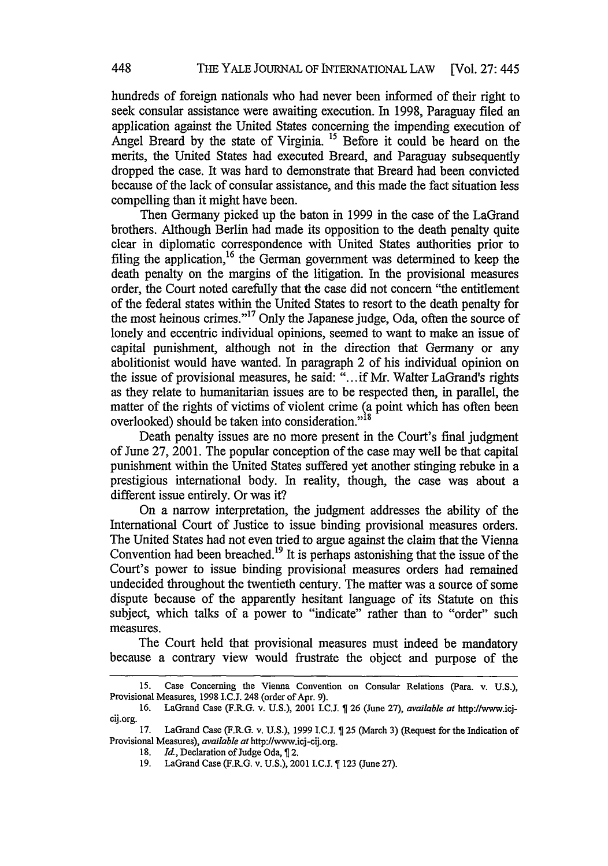hundreds of foreign nationals who had never been informed of their right to seek consular assistance were awaiting execution. In 1998, Paraguay filed an application against the United States concerning the impending execution of Angel Breard by the state of Virginia. *15* Before it could be heard on the merits, the United States had executed Breard, and Paraguay subsequently dropped the case. It was hard to demonstrate that Breard had been convicted because of the lack of consular assistance, and this made the fact situation less compelling than it might have been.

Then Germany picked up the baton in 1999 in the case of the LaGrand brothers. Although Berlin had made its opposition to the death penalty quite clear in diplomatic correspondence with United States authorities prior to filing the application,<sup>16</sup> the German government was determined to keep the death penalty on the margins of the litigation. In the provisional measures order, the Court noted carefully that the case did not concern "the entitlement of the federal states within the United States to resort to the death penalty for the most heinous crimes. 17 Only the Japanese judge, Oda, often the source of lonely and eccentric individual opinions, seemed to want to make an issue of capital punishment, although not in the direction that Germany or any abolitionist would have wanted. In paragraph 2 of his individual opinion on the issue of provisional measures, he said: "...if Mr. Walter LaGrand's rights as they relate to humanitarian issues are to be respected then, in parallel, the matter of the rights of victims of violent crime (a point which has often been overlooked) should be taken into consideration."<sup>18</sup>

Death penalty issues are no more present in the Court's final judgment of June 27, 2001. The popular conception of the case may well be that capital punishment within the United States suffered yet another stinging rebuke in a prestigious international body. In reality, though, the case was about a different issue entirely. Or was it?

On a narrow interpretation, the judgment addresses the ability of the International Court of Justice to issue binding provisional measures orders. The United States had not even tried to argue against the claim that the Vienna Convention had been breached.<sup>19</sup> It is perhaps astonishing that the issue of the Court's power to issue binding provisional measures orders had remained undecided throughout the twentieth century. The matter was a source of some dispute because of the apparently hesitant language of its Statute on this subject, which talks of a power to "indicate" rather than to "order" such measures.

The Court held that provisional measures must indeed be mandatory because a contrary view would frustrate the object and purpose of the

**<sup>15.</sup>** Case Concerning the Vienna Convention on Consular Relations (Para. v. **U.S.),** Provisional Measures, **1998 I.C.J.** 248 (order of Apr. **9).**

**<sup>16.</sup>** LaGrand Case (F.R.G. v. **U.S.),** 2001 I.C.J. **26** (June **27),** *available at* http://www.icjcij.org.

**<sup>17.</sup>** LaGrand Case (F.R.G. v. **U.S.), 1999** I.C.J. **25** (March **3)** (Request for the Indication of Provisional Measures), *available at* http://www.icj-cij.org.

<sup>18.</sup> *Id.*, Declaration of Judge Oda, 12.

**<sup>19.</sup>** LaGrand Case (F.R.G. v. **U.S.),** 2001 I.C.J. **123** (June **27).**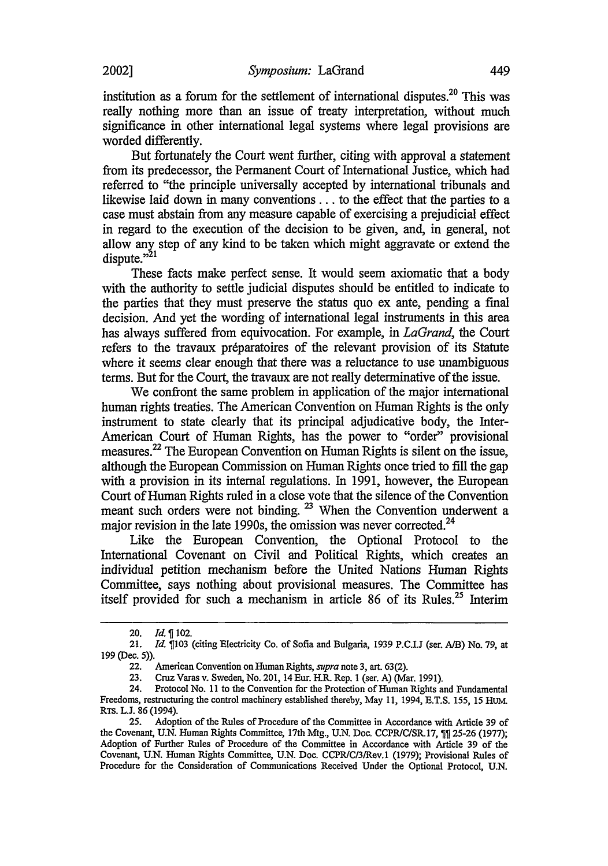institution as a forum for the settlement of international disputes.<sup>20</sup> This was really nothing more than an issue of treaty interpretation, without much significance in other international legal systems where legal provisions are worded differently.

But fortunately the Court went further, citing with approval a statement from its predecessor, the Permanent Court of International Justice, which had referred to "the principle universally accepted by international tribunals and likewise laid down in many conventions . . . to the effect that the parties to a case must abstain from any measure capable of exercising a prejudicial effect in regard to the execution of the decision to be given, and, in general, not allow any step of any kind to be taken which might aggravate or extend the dispute." $^{21}$ 

These facts make perfect sense. It would seem axiomatic that a body with the authority to settle judicial disputes should be entitled to indicate to the parties that they must preserve the status quo ex ante, pending a final decision. *And* yet the wording of international legal instruments in this area has always suffered from equivocation. For example, in *LaGrand,* the Court refers to the travaux préparatoires of the relevant provision of its Statute where it seems clear enough that there was a reluctance to use unambiguous terms. But for the Court, the travaux are not really determinative of the issue.

We confront the same problem in application of the major international human rights treaties. The American Convention on Human Rights is the only instrument to state clearly that its principal adjudicative body, the Inter-American Court of Human Rights, has the power to "order" provisional measures. 22 The European Convention on Human Rights is silent on the issue, although the European Commission on Human Rights once tried to fill the gap with a provision in its internal regulations. In 1991, however, the European Court of Human Rights ruled in a close vote that the silence of the Convention meant such orders were not binding.<sup>23</sup> When the Convention underwent a maior revision in the late 1990s, the omission was never corrected.<sup>24</sup>

Like the European Convention, the Optional Protocol to the International Covenant on Civil and Political Rights, which creates an individual petition mechanism before the United Nations Human Rights Committee, says nothing about provisional measures. The Committee has itself provided for such a mechanism in article 86 of its Rules.<sup>25</sup> Interim

<sup>20.</sup> *Id.* 102.

**<sup>21.</sup>** *Id.* **103** (citing Electricity Co. of Sofia and Bulgaria, **1939** P.C.I.J (ser. A/B) No. **79,** at **199** (Dec. **5)).**

<sup>22.</sup> American Convention on Human Rights, *supra* note **3, art. 63(2).**

<sup>23.</sup> Cruz Varas v. Sweden, No. 201, 14 Eur. H.R Rep. **I** (ser. **A)** (Mar. 1991).

<sup>24.</sup> Protocol No. **11** to the Convention for the Protection of Human Rights and Fundamental Freedoms, restructuring the control machinery established thereby, May **11,** 1994, E.T.S. 155, **15** HuM. RTS. L.J. 86 (1994).

**<sup>25.</sup>** Adoption of the Rules of Procedure of the Committee in Accordance with Article **39** of the Covenant, U.N. Human Rights Committee, 17th Mtg., U.N. Doc. CCPRIC/SR.17, **25-26 (1977);** Adoption of Further Rules of Procedure of the Committee in Accordance with Article 39 of the Covenant, U.N. Human Rights Committee, U.N. Doc. CCPR/C/3IRev.1 (1979); Provisional Rules of Procedure for the Consideration of Communications Received Under the Optional Protocol, U.N.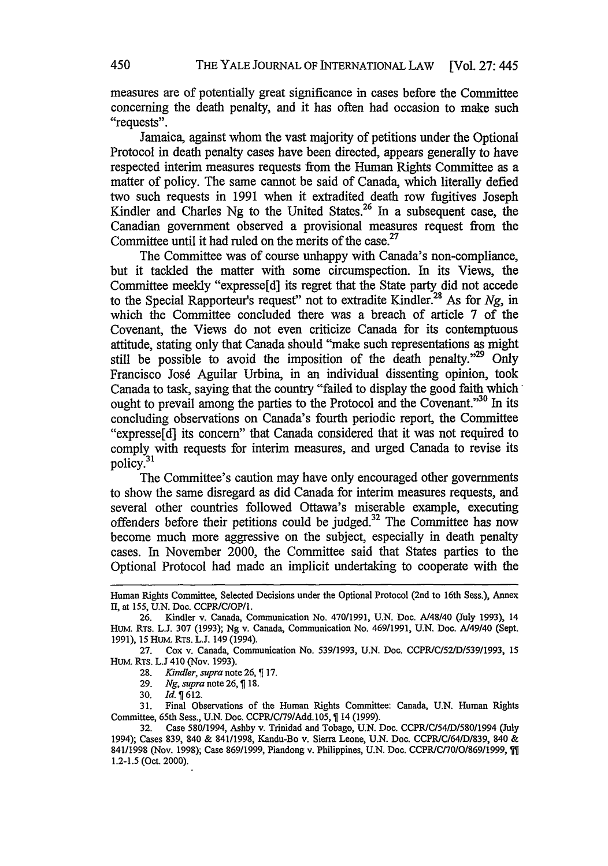measures are of potentially great significance in cases before the Committee concerning the death penalty, and it has often had occasion to make such "requests".

Jamaica, against whom the vast majority of petitions under the Optional Protocol in death penalty cases have been directed, appears generally to have respected interim measures requests from the Human Rights Committee as a matter of policy. The same cannot be said of Canada, which literally defied two such requests in 1991 when it extradited death row fugitives Joseph Kindler and Charles Ng to the United States.<sup>26</sup> In a subsequent case, the Canadian government observed a provisional measures request from the Committee until it had ruled on the merits of the case.<sup>27</sup>

The Committee was of course unhappy with Canada's non-compliance, but it tackled the matter with some circumspection. In its Views, the Committee meekly "expresse[d] its regret that the State party did not accede to the Special Rapporteur's request" not to extradite Kindler.<sup>28</sup> As for *Ng*, in which the Committee concluded there was a breach of article 7 of the Covenant, the Views do not even criticize Canada for its contemptuous attitude, stating only that Canada should "make such representations as might still be possible to avoid the imposition of the death penalty."<sup>29</sup> Only Francisco Josd Aguilar Urbina, in an individual dissenting opinion, took Canada to task, saying that the country "failed to display the good faith which ought to prevail among the parties to the Protocol and the Covenant."<sup>30</sup> In its concluding observations on Canada's fourth periodic report, the Committee "expresse[d] its concern" that Canada considered that it was not required to comply with requests for interim measures, and urged Canada to revise its policy.<sup>31</sup>

The Committee's caution may have only encouraged other governments to show the same disregard as did Canada for interim measures requests, and several other countries followed Ottawa's miserable example, executing offenders before their petitions could be judged.32 The Committee has now become much more aggressive on the subject, especially in death penalty cases. In November 2000, the Committee said that States parties to the Optional Protocol had made an implicit undertaking to cooperate with the

**29.** *Ng, supra* note 26, ¶18.

**31.** Final Observations of the Human Rights Committee: Canada, **U.N.** Human Rights Committee, 65th Sess., **U.N.** Doc. **CCPR/C/79/Add.105,** 14 **(1999).**

Human Rights Committee, Selected **Decisions** under the Optional Protocol (2nd **to** 16th Sess.), Annex **M1,** at **155, U.N.** Doc. CCPR/C/OP/1.

**<sup>26.</sup>** Kindler v. Canada, Communication No. **470/1991, U.N.** Doc. *A/48/40* (July **1993),** 14 HUM. **RTs. L.J. 307 (1993); Ng** v. Canada, Communication No. **469/1991, U.N.** Doc. A/49/40 (Sept. **1991), 15** HuM. RTS. **L.J.** 149 (1994).

**<sup>27.</sup>** Cox v. Canada, Communication No. **539/1993, U.N.** Doc. **CCPRIC/52/Df539/1993, 15 HUM. RTS. L.J 410** (Nov. **1993).**

**<sup>28.</sup>** *Kindler, supra* note **26, 17.**

**<sup>30.</sup>** *Id. 1612.*

**<sup>32.</sup>** Case **580/1994,** Ashby v. Trinidad and Tobago, **U.N.** Doc. CCPRIC/54fD/580/1994 (July 1994); Cases **839,** 840 **& 841/1998,** Kandu-Bo v. Sierra Leone, **U.N.** Doc. CCPR/C/64/D/839, 840 **&** 841/1998 (Nov. **1998);** Case **869/1999,** Piandong v. Philippines, **U.N.** Doc. **CCPRIC/70/0/869/1999, In 1.2-1.5** (Oct. 2000).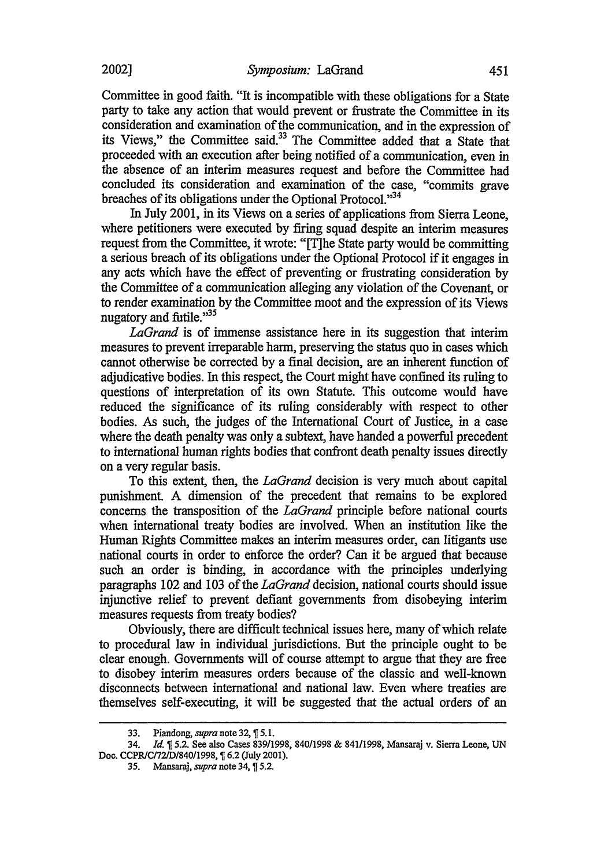Committee in good faith. "It is incompatible with these obligations for a State party to take any action that would prevent or frustrate the Committee in its consideration and examination of the communication, and in the expression of its Views," the Committee said.33 The Committee added that a State that proceeded with an execution after being notified of a communication, even in the absence of an interim measures request and before the Committee had concluded its consideration and examination of the case, "commits grave breaches of its obligations under the Optional Protocol."<sup>34</sup>

In July 2001, in its Views on a series of applications from Sierra Leone, where petitioners were executed by firing squad despite an interim measures request from the Committee, it wrote: "[T]he State party would be committing a serious breach of its obligations under the Optional Protocol if it engages in any acts which have the effect of preventing or frustrating consideration by the Committee of a communication alleging any violation of the Covenant, or to render examination by the Committee moot and the expression of its Views nugatory and futile."<sup>35</sup>

*LaGrand* is of immense assistance here in its suggestion that interim measures to prevent irreparable harm, preserving the status quo in cases which cannot otherwise be corrected by a final decision, are an inherent function of adjudicative bodies. In this respect, the Court might have confined its ruling to questions of interpretation of its own Statute. This outcome would have reduced the significance of its ruling considerably with respect to other bodies. As such, the judges of the International Court of Justice, in a case where the death penalty was only a subtext, have handed a powerful precedent to international human rights bodies that confront death penalty issues directly on a very regular basis.

To this extent, then, the *LaGrand* decision is very much about capital punishment. A dimension of the precedent that remains to be explored concerns the transposition of the *LaGrand* principle before national courts when international treaty bodies are involved. When an institution like the Human Rights Committee makes an interim measures order, can litigants use national courts in order to enforce the order? Can it be argued that because such an order is binding, in accordance with the principles underlying paragraphs 102 and 103 of the *LaGrand* decision, national courts should issue injunctive relief to prevent defiant governments from disobeying interim measures requests from treaty bodies?

Obviously, there are difficult technical issues here, many of which relate to procedural law in individual jurisdictions. But the principle ought to be clear enough. Governments will of course attempt to argue that they are free to disobey interim measures orders because of the classic and well-known disconnects between international and national law. Even where treaties are themselves self-executing, it will be suggested that the actual orders of an

<sup>33.</sup> Piandong, *supra* note 32, ¶ 5.1.

<sup>34.</sup> *Id.* 5.2. See also Cases 839/1998, 840/1998 & 841/1998, Mansaraj v. Sierra Leone, UN Doe. CCPRICI72/D84011998, **6.2 (July** 2001).

<sup>35.</sup> Mansaraj, *supra* note 34, ¶ 5.2.